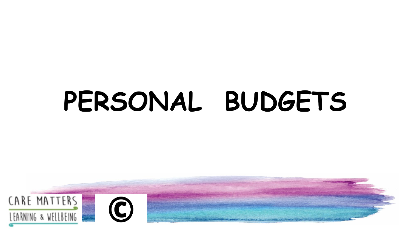# **PERSONAL BUDGETS**

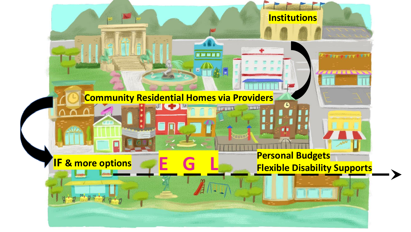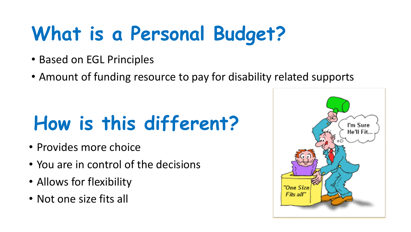## **What is a Personal Budget?**

- Based on EGL Principles
- Amount of funding resource to pay for disability related supports

## **How is this different?**

- Provides more choice
- You are in control of the decisions
- Allows for flexibility
- Not one size fits all

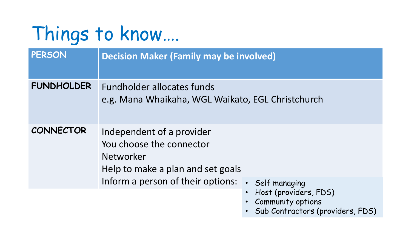## Things to know….

| PERSON            | <b>Decision Maker (Family may be involved)</b>                                                          |
|-------------------|---------------------------------------------------------------------------------------------------------|
| <b>FUNDHOLDER</b> | Fundholder allocates funds<br>e.g. Mana Whaikaha, WGL Waikato, EGL Christchurch                         |
| <b>CONNECTOR</b>  | Independent of a provider<br>You choose the connector<br>Networker<br>Help to make a plan and set goals |
|                   | Inform a person of their options:<br>Self managing<br>• Host (providers, FDS)                           |

- Community options
- Sub Contractors (providers, FDS)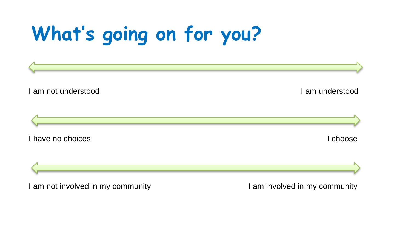## **What's going on for you?**



I am not involved in my community I am involved in my community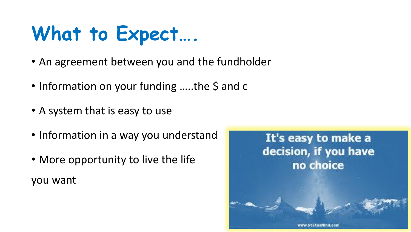#### **What to Expect….**

- An agreement between you and the fundholder
- Information on your funding .....the \$ and c
- A system that is easy to use
- Information in a way you understand
- More opportunity to live the life you want